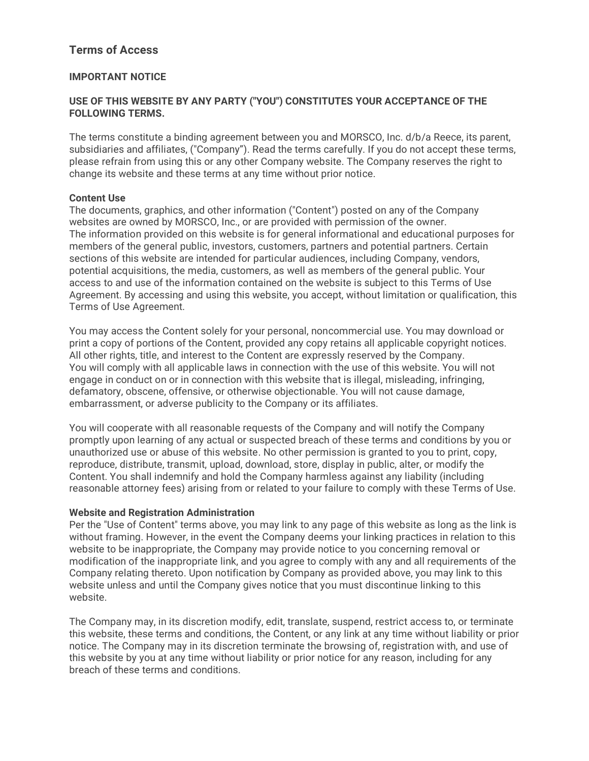# **Terms of Access**

# **IMPORTANT NOTICE**

## **USE OF THIS WEBSITE BY ANY PARTY ("YOU") CONSTITUTES YOUR ACCEPTANCE OF THE FOLLOWING TERMS.**

The terms constitute a binding agreement between you and MORSCO, Inc. d/b/a Reece, its parent, subsidiaries and affiliates, ("Company"). Read the terms carefully. If you do not accept these terms, please refrain from using this or any other Company website. The Company reserves the right to change its website and these terms at any time without prior notice.

#### **Content Use**

The documents, graphics, and other information ("Content") posted on any of the Company websites are owned by MORSCO, Inc., or are provided with permission of the owner. The information provided on this website is for general informational and educational purposes for members of the general public, investors, customers, partners and potential partners. Certain sections of this website are intended for particular audiences, including Company, vendors, potential acquisitions, the media, customers, as well as members of the general public. Your access to and use of the information contained on the website is subject to this Terms of Use Agreement. By accessing and using this website, you accept, without limitation or qualification, this Terms of Use Agreement.

You may access the Content solely for your personal, noncommercial use. You may download or print a copy of portions of the Content, provided any copy retains all applicable copyright notices. All other rights, title, and interest to the Content are expressly reserved by the Company. You will comply with all applicable laws in connection with the use of this website. You will not engage in conduct on or in connection with this website that is illegal, misleading, infringing, defamatory, obscene, offensive, or otherwise objectionable. You will not cause damage, embarrassment, or adverse publicity to the Company or its affiliates.

You will cooperate with all reasonable requests of the Company and will notify the Company promptly upon learning of any actual or suspected breach of these terms and conditions by you or unauthorized use or abuse of this website. No other permission is granted to you to print, copy, reproduce, distribute, transmit, upload, download, store, display in public, alter, or modify the Content. You shall indemnify and hold the Company harmless against any liability (including reasonable attorney fees) arising from or related to your failure to comply with these Terms of Use.

#### **Website and Registration Administration**

Per the "Use of Content" terms above, you may link to any page of this website as long as the link is without framing. However, in the event the Company deems your linking practices in relation to this website to be inappropriate, the Company may provide notice to you concerning removal or modification of the inappropriate link, and you agree to comply with any and all requirements of the Company relating thereto. Upon notification by Company as provided above, you may link to this website unless and until the Company gives notice that you must discontinue linking to this website.

The Company may, in its discretion modify, edit, translate, suspend, restrict access to, or terminate this website, these terms and conditions, the Content, or any link at any time without liability or prior notice. The Company may in its discretion terminate the browsing of, registration with, and use of this website by you at any time without liability or prior notice for any reason, including for any breach of these terms and conditions.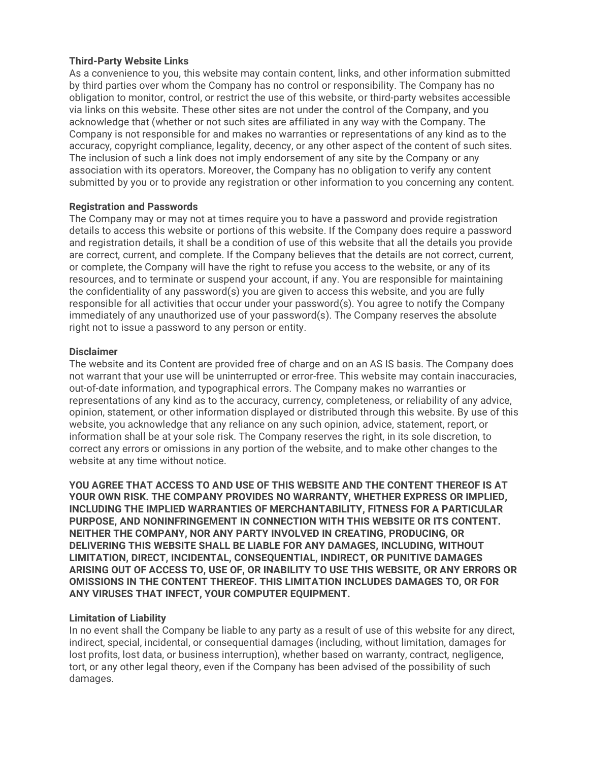## **Third-Party Website Links**

As a convenience to you, this website may contain content, links, and other information submitted by third parties over whom the Company has no control or responsibility. The Company has no obligation to monitor, control, or restrict the use of this website, or third-party websites accessible via links on this website. These other sites are not under the control of the Company, and you acknowledge that (whether or not such sites are affiliated in any way with the Company. The Company is not responsible for and makes no warranties or representations of any kind as to the accuracy, copyright compliance, legality, decency, or any other aspect of the content of such sites. The inclusion of such a link does not imply endorsement of any site by the Company or any association with its operators. Moreover, the Company has no obligation to verify any content submitted by you or to provide any registration or other information to you concerning any content.

## **Registration and Passwords**

The Company may or may not at times require you to have a password and provide registration details to access this website or portions of this website. If the Company does require a password and registration details, it shall be a condition of use of this website that all the details you provide are correct, current, and complete. If the Company believes that the details are not correct, current, or complete, the Company will have the right to refuse you access to the website, or any of its resources, and to terminate or suspend your account, if any. You are responsible for maintaining the confidentiality of any password(s) you are given to access this website, and you are fully responsible for all activities that occur under your password(s). You agree to notify the Company immediately of any unauthorized use of your password(s). The Company reserves the absolute right not to issue a password to any person or entity.

#### **Disclaimer**

The website and its Content are provided free of charge and on an AS IS basis. The Company does not warrant that your use will be uninterrupted or error-free. This website may contain inaccuracies, out-of-date information, and typographical errors. The Company makes no warranties or representations of any kind as to the accuracy, currency, completeness, or reliability of any advice, opinion, statement, or other information displayed or distributed through this website. By use of this website, you acknowledge that any reliance on any such opinion, advice, statement, report, or information shall be at your sole risk. The Company reserves the right, in its sole discretion, to correct any errors or omissions in any portion of the website, and to make other changes to the website at any time without notice.

**YOU AGREE THAT ACCESS TO AND USE OF THIS WEBSITE AND THE CONTENT THEREOF IS AT YOUR OWN RISK. THE COMPANY PROVIDES NO WARRANTY, WHETHER EXPRESS OR IMPLIED, INCLUDING THE IMPLIED WARRANTIES OF MERCHANTABILITY, FITNESS FOR A PARTICULAR PURPOSE, AND NONINFRINGEMENT IN CONNECTION WITH THIS WEBSITE OR ITS CONTENT. NEITHER THE COMPANY, NOR ANY PARTY INVOLVED IN CREATING, PRODUCING, OR DELIVERING THIS WEBSITE SHALL BE LIABLE FOR ANY DAMAGES, INCLUDING, WITHOUT LIMITATION, DIRECT, INCIDENTAL, CONSEQUENTIAL, INDIRECT, OR PUNITIVE DAMAGES ARISING OUT OF ACCESS TO, USE OF, OR INABILITY TO USE THIS WEBSITE, OR ANY ERRORS OR OMISSIONS IN THE CONTENT THEREOF. THIS LIMITATION INCLUDES DAMAGES TO, OR FOR ANY VIRUSES THAT INFECT, YOUR COMPUTER EQUIPMENT.**

#### **Limitation of Liability**

In no event shall the Company be liable to any party as a result of use of this website for any direct, indirect, special, incidental, or consequential damages (including, without limitation, damages for lost profits, lost data, or business interruption), whether based on warranty, contract, negligence, tort, or any other legal theory, even if the Company has been advised of the possibility of such damages.